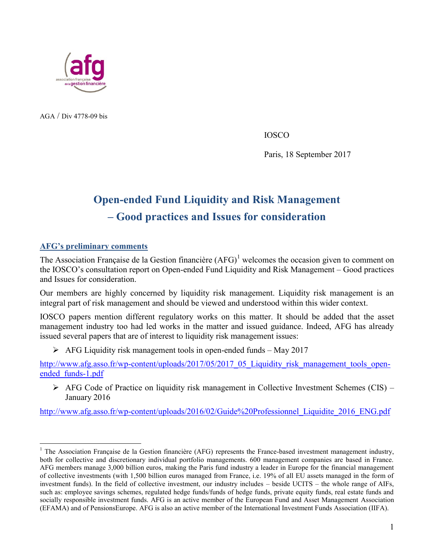

AGA / Div 4778-09 bis

IOSCO

Paris, 18 September 2017

## **Open-ended Fund Liquidity and Risk Management – Good practices and Issues for consideration**

## **AFG's preliminary comments**

 $\overline{a}$ 

The Association Française de la Gestion financière  $(AFG)^1$  welcomes the occasion given to comment on the IOSCO's consultation report on Open-ended Fund Liquidity and Risk Management – Good practices and Issues for consideration.

Our members are highly concerned by liquidity risk management. Liquidity risk management is an integral part of risk management and should be viewed and understood within this wider context.

IOSCO papers mention different regulatory works on this matter. It should be added that the asset management industry too had led works in the matter and issued guidance. Indeed, AFG has already issued several papers that are of interest to liquidity risk management issues:

 $\triangleright$  AFG Liquidity risk management tools in open-ended funds – May 2017

[http://www.afg.asso.fr/wp-content/uploads/2017/05/2017\\_05\\_Liquidity\\_risk\\_management\\_tools\\_open](http://www.afg.asso.fr/wp-content/uploads/2017/05/2017_05_Liquidity_risk_management_tools_open-ended_funds-1.pdf)[ended\\_funds-1.pdf](http://www.afg.asso.fr/wp-content/uploads/2017/05/2017_05_Liquidity_risk_management_tools_open-ended_funds-1.pdf)

 $\triangleright$  AFG Code of Practice on liquidity risk management in Collective Investment Schemes (CIS) – January 2016

[http://www.afg.asso.fr/wp-content/uploads/2016/02/Guide%20Professionnel\\_Liquidite\\_2016\\_ENG.pdf](http://www.afg.asso.fr/wp-content/uploads/2016/02/Guide%20Professionnel_Liquidite_2016_ENG.pdf)

 $1$  The Association Française de la Gestion financière (AFG) represents the France-based investment management industry, both for collective and discretionary individual portfolio managements. 600 management companies are based in France. AFG members manage 3,000 billion euros, making the Paris fund industry a leader in Europe for the financial management of collective investments (with 1,500 billion euros managed from France, i.e. 19% of all EU assets managed in the form of investment funds). In the field of collective investment, our industry includes – beside UCITS – the whole range of AIFs, such as: employee savings schemes, regulated hedge funds/funds of hedge funds, private equity funds, real estate funds and socially responsible investment funds. AFG is an active member of the European Fund and Asset Management Association (EFAMA) and of PensionsEurope. AFG is also an active member of the International Investment Funds Association (IIFA).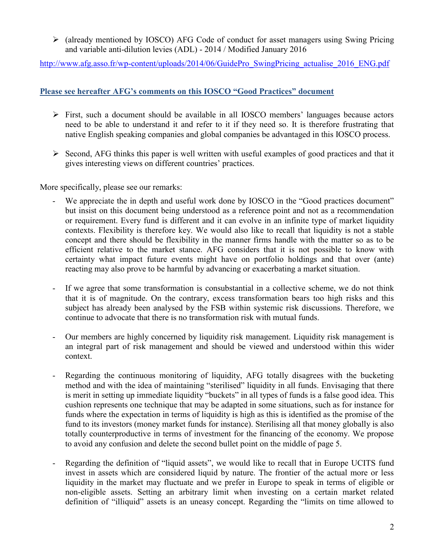$\triangleright$  (already mentioned by IOSCO) AFG Code of conduct for asset managers using Swing Pricing and variable anti-dilution levies (ADL) - 2014 / Modified January 2016

[http://www.afg.asso.fr/wp-content/uploads/2014/06/GuidePro\\_SwingPricing\\_actualise\\_2016\\_ENG.pdf](http://www.afg.asso.fr/wp-content/uploads/2014/06/GuidePro_SwingPricing_actualise_2016_ENG.pdf)

## **Please see hereafter AFG's comments on this IOSCO "Good Practices" document**

- First, such a document should be available in all IOSCO members' languages because actors need to be able to understand it and refer to it if they need so. It is therefore frustrating that native English speaking companies and global companies be advantaged in this IOSCO process.
- $\triangleright$  Second, AFG thinks this paper is well written with useful examples of good practices and that it gives interesting views on different countries' practices.

More specifically, please see our remarks:

- We appreciate the in depth and useful work done by IOSCO in the "Good practices document" but insist on this document being understood as a reference point and not as a recommendation or requirement. Every fund is different and it can evolve in an infinite type of market liquidity contexts. Flexibility is therefore key. We would also like to recall that liquidity is not a stable concept and there should be flexibility in the manner firms handle with the matter so as to be efficient relative to the market stance. AFG considers that it is not possible to know with certainty what impact future events might have on portfolio holdings and that over (ante) reacting may also prove to be harmful by advancing or exacerbating a market situation.
- If we agree that some transformation is consubstantial in a collective scheme, we do not think that it is of magnitude. On the contrary, excess transformation bears too high risks and this subject has already been analysed by the FSB within systemic risk discussions. Therefore, we continue to advocate that there is no transformation risk with mutual funds.
- Our members are highly concerned by liquidity risk management. Liquidity risk management is an integral part of risk management and should be viewed and understood within this wider context.
- Regarding the continuous monitoring of liquidity, AFG totally disagrees with the bucketing method and with the idea of maintaining "sterilised" liquidity in all funds. Envisaging that there is merit in setting up immediate liquidity "buckets" in all types of funds is a false good idea. This cushion represents one technique that may be adapted in some situations, such as for instance for funds where the expectation in terms of liquidity is high as this is identified as the promise of the fund to its investors (money market funds for instance). Sterilising all that money globally is also totally counterproductive in terms of investment for the financing of the economy. We propose to avoid any confusion and delete the second bullet point on the middle of page 5.
- Regarding the definition of "liquid assets", we would like to recall that in Europe UCITS fund invest in assets which are considered liquid by nature. The frontier of the actual more or less liquidity in the market may fluctuate and we prefer in Europe to speak in terms of eligible or non-eligible assets. Setting an arbitrary limit when investing on a certain market related definition of "illiquid" assets is an uneasy concept. Regarding the "limits on time allowed to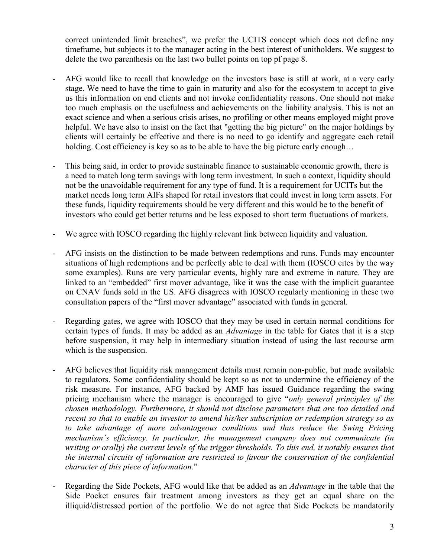correct unintended limit breaches", we prefer the UCITS concept which does not define any timeframe, but subjects it to the manager acting in the best interest of unitholders. We suggest to delete the two parenthesis on the last two bullet points on top pf page 8.

- AFG would like to recall that knowledge on the investors base is still at work, at a very early stage. We need to have the time to gain in maturity and also for the ecosystem to accept to give us this information on end clients and not invoke confidentiality reasons. One should not make too much emphasis on the usefulness and achievements on the liability analysis. This is not an exact science and when a serious crisis arises, no profiling or other means employed might prove helpful. We have also to insist on the fact that "getting the big picture" on the major holdings by clients will certainly be effective and there is no need to go identify and aggregate each retail holding. Cost efficiency is key so as to be able to have the big picture early enough...
- This being said, in order to provide sustainable finance to sustainable economic growth, there is a need to match long term savings with long term investment. In such a context, liquidity should not be the unavoidable requirement for any type of fund. It is a requirement for UCITs but the market needs long term AIFs shaped for retail investors that could invest in long term assets. For these funds, liquidity requirements should be very different and this would be to the benefit of investors who could get better returns and be less exposed to short term fluctuations of markets.
- We agree with IOSCO regarding the highly relevant link between liquidity and valuation.
- AFG insists on the distinction to be made between redemptions and runs. Funds may encounter situations of high redemptions and be perfectly able to deal with them (IOSCO cites by the way some examples). Runs are very particular events, highly rare and extreme in nature. They are linked to an "embedded" first mover advantage, like it was the case with the implicit guarantee on CNAV funds sold in the US. AFG disagrees with IOSCO regularly mentioning in these two consultation papers of the "first mover advantage" associated with funds in general.
- Regarding gates, we agree with IOSCO that they may be used in certain normal conditions for certain types of funds. It may be added as an *Advantage* in the table for Gates that it is a step before suspension, it may help in intermediary situation instead of using the last recourse arm which is the suspension.
- AFG believes that liquidity risk management details must remain non-public, but made available to regulators. Some confidentiality should be kept so as not to undermine the efficiency of the risk measure. For instance, AFG backed by AMF has issued Guidance regarding the swing pricing mechanism where the manager is encouraged to give "*only general principles of the chosen methodology. Furthermore, it should not disclose parameters that are too detailed and recent so that to enable an investor to amend his/her subscription or redemption strategy so as to take advantage of more advantageous conditions and thus reduce the Swing Pricing mechanism's efficiency. In particular, the management company does not communicate (in writing or orally) the current levels of the trigger thresholds. To this end, it notably ensures that the internal circuits of information are restricted to favour the conservation of the confidential character of this piece of information.*"
- Regarding the Side Pockets, AFG would like that be added as an *Advantage* in the table that the Side Pocket ensures fair treatment among investors as they get an equal share on the illiquid/distressed portion of the portfolio. We do not agree that Side Pockets be mandatorily